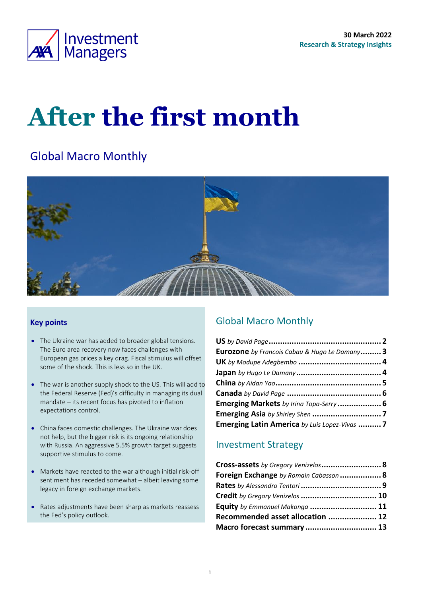

# **After the first month**

# Global Macro Monthly



### **Key points**

- The Ukraine war has added to broader global tensions. The Euro area recovery now faces challenges with European gas prices a key drag. Fiscal stimulus will offset some of the shock. This is less so in the UK.
- The war is another supply shock to the US. This will add to the Federal Reserve (Fed)'s difficulty in managing its dual mandate – its recent focus has pivoted to inflation expectations control.
- China faces domestic challenges. The Ukraine war does not help, but the bigger risk is its ongoing relationship with Russia. An aggressive 5.5% growth target suggests supportive stimulus to come.
- Markets have reacted to the war although initial risk-off sentiment has receded somewhat – albeit leaving some legacy in foreign exchange markets.
- Rates adjustments have been sharp as markets reassess the Fed's policy outlook.

### <span id="page-0-0"></span>Global Macro Monthly

| <b>Eurozone</b> by Francois Cabau & Hugo Le Damany 3 |  |
|------------------------------------------------------|--|
|                                                      |  |
|                                                      |  |
|                                                      |  |
|                                                      |  |
| Emerging Markets by Irina Topa-Serry  6              |  |
|                                                      |  |
| Emerging Latin America by Luis Lopez-Vivas  7        |  |

### Investment Strategy

| Cross-assets by Gregory Venizelos 8    |  |
|----------------------------------------|--|
| Foreign Exchange by Romain Cabasson  8 |  |
|                                        |  |
| Credit by Gregory Venizelos  10        |  |
| Equity by Emmanuel Makonga  11         |  |
| Recommended asset allocation  12       |  |
| Macro forecast summary  13             |  |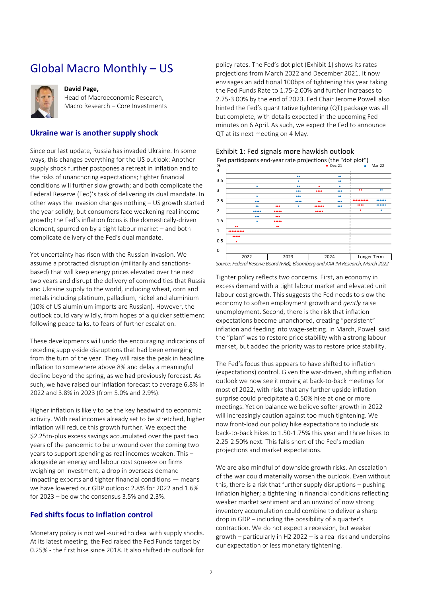# <span id="page-1-0"></span>Global Macro Monthly – US



#### **David Page,**

Head of Macroeconomic Research, Macro Research – Core Investments

### **Ukraine war is another supply shock**

Since our last update, Russia has invaded Ukraine. In some ways, this changes everything for the US outlook: Another supply shock further postpones a retreat in inflation and to the risks of unanchoring expectations; tighter financial conditions will further slow growth; and both complicate the Federal Reserve (Fed)'s task of delivering its dual mandate. In other ways the invasion changes nothing – US growth started the year solidly, but consumers face weakening real income growth; the Fed's inflation focus is the domestically-driven element, spurred on by a tight labour market – and both complicate delivery of the Fed's dual mandate.

Yet uncertainty has risen with the Russian invasion. We assume a protracted disruption (militarily and sanctionsbased) that will keep energy prices elevated over the next two years and disrupt the delivery of commodities that Russia and Ukraine supply to the world, including wheat, corn and metals including platinum, palladium, nickel and aluminium (10% of US aluminium imports are Russian). However, the outlook could vary wildly, from hopes of a quicker settlement following peace talks, to fears of further escalation.

These developments will undo the encouraging indications of receding supply-side disruptions that had been emerging from the turn of the year. They will raise the peak in headline inflation to somewhere above 8% and delay a meaningful decline beyond the spring, as we had previously forecast. As such, we have raised our inflation forecast to average 6.8% in 2022 and 3.8% in 2023 (from 5.0% and 2.9%).

Higher inflation is likely to be the key headwind to economic activity. With real incomes already set to be stretched, higher inflation will reduce this growth further. We expect the \$2.25tn-plus excess savings accumulated over the past two years of the pandemic to be unwound over the coming two years to support spending as real incomes weaken. This – alongside an energy and labour cost squeeze on firms weighing on investment, a drop in overseas demand impacting exports and tighter financial conditions — means we have lowered our GDP outlook: 2.8% for 2022 and 1.6% for 2023 – below the consensus 3.5% and 2.3%.

### **Fed shifts focus to inflation control**

Monetary policy is not well-suited to deal with supply shocks. At its latest meeting, the Fed raised the Fed Funds target by 0.25% - the first hike since 2018. It also shifted its outlook for

policy rates. The Fed's dot plot ([Exhibit 1\)](#page-1-1) shows its rates projections from March 2022 and December 2021. It now envisages an additional 100bps of tightening this year taking the Fed Funds Rate to 1.75-2.00% and further increases to 2.75-3.00% by the end of 2023. Fed Chair Jerome Powell also hinted the Fed's quantitative tightening (QT) package was all but complete, with details expected in the upcoming Fed minutes on 6 April. As such, we expect the Fed to announce QT at its next meeting on 4 May.

| %<br>4 | Fed participants end-year rate projections (the "dot plot")                                                                                                                                                                                                                                                                                                                                                                                                                                                                                                                                                                                                                  |                               |       | Dec-21        |             | Mar-22 |
|--------|------------------------------------------------------------------------------------------------------------------------------------------------------------------------------------------------------------------------------------------------------------------------------------------------------------------------------------------------------------------------------------------------------------------------------------------------------------------------------------------------------------------------------------------------------------------------------------------------------------------------------------------------------------------------------|-------------------------------|-------|---------------|-------------|--------|
| 3.5    |                                                                                                                                                                                                                                                                                                                                                                                                                                                                                                                                                                                                                                                                              |                               |       | ٠e            |             |        |
| 3      | ٠                                                                                                                                                                                                                                                                                                                                                                                                                                                                                                                                                                                                                                                                            | 66<br>$\bullet\bullet\bullet$ | ٠<br> | $\bullet$<br> |             |        |
|        | ۰                                                                                                                                                                                                                                                                                                                                                                                                                                                                                                                                                                                                                                                                            | $\bullet\bullet\bullet$       |       |               |             |        |
| 2.5    | $\bullet\bullet\bullet$<br>88                                                                                                                                                                                                                                                                                                                                                                                                                                                                                                                                                                                                                                                | <br>                          | <br>  | 000<br>       |             |        |
| 2      |                                                                                                                                                                                                                                                                                                                                                                                                                                                                                                                                                                                                                                                                              | <br>                          |       |               |             |        |
| 1.5    |                                                                                                                                                                                                                                                                                                                                                                                                                                                                                                                                                                                                                                                                              |                               |       |               |             |        |
| 1      |                                                                                                                                                                                                                                                                                                                                                                                                                                                                                                                                                                                                                                                                              |                               |       |               |             |        |
| 0.5    |                                                                                                                                                                                                                                                                                                                                                                                                                                                                                                                                                                                                                                                                              |                               |       |               |             |        |
| 0      |                                                                                                                                                                                                                                                                                                                                                                                                                                                                                                                                                                                                                                                                              |                               |       |               |             |        |
|        | 2022                                                                                                                                                                                                                                                                                                                                                                                                                                                                                                                                                                                                                                                                         | 2023                          |       | 2024          | Longer Term |        |
|        | Source: Federal Reserve Board (FRB), Bloomberg and AXA IM Research, March 2022                                                                                                                                                                                                                                                                                                                                                                                                                                                                                                                                                                                               |                               |       |               |             |        |
|        | unemployment. Second, there is the risk that inflation<br>expectations become unanchored, creating "persistent"<br>inflation and feeding into wage-setting. In March, Powell said<br>the "plan" was to restore price stability with a strong labour<br>market, but added the priority was to restore price stability.                                                                                                                                                                                                                                                                                                                                                        |                               |       |               |             |        |
|        | The Fed's focus thus appears to have shifted to inflation<br>(expectations) control. Given the war-driven, shifting inflation<br>outlook we now see it moving at back-to-back meetings for<br>most of 2022, with risks that any further upside inflation<br>surprise could precipitate a 0.50% hike at one or more<br>meetings. Yet on balance we believe softer growth in 2022<br>will increasingly caution against too much tightening. We<br>now front-load our policy hike expectations to include six<br>back-to-back hikes to 1.50-1.75% this year and three hikes to<br>2.25-2.50% next. This falls short of the Fed's median<br>projections and market expectations. |                               |       |               |             |        |
|        | We are also mindful of downside growth risks. An escalation<br>of the war could materially worsen the outlook. Even without<br>this, there is a risk that further supply disruptions - pushing<br>inflation higher; a tightening in financial conditions reflecting<br>weaker market sentiment and an unwind of now strong<br>inventory accumulation could combine to deliver a sharp<br>drop in GDP - including the possibility of a quarter's                                                                                                                                                                                                                              |                               |       |               |             |        |

<span id="page-1-1"></span>Exhibit 1: Fed signals more hawkish outlook

*Source: Federal Reserve Board (FRB), Bloomberg and AXA IM Research, March 2022*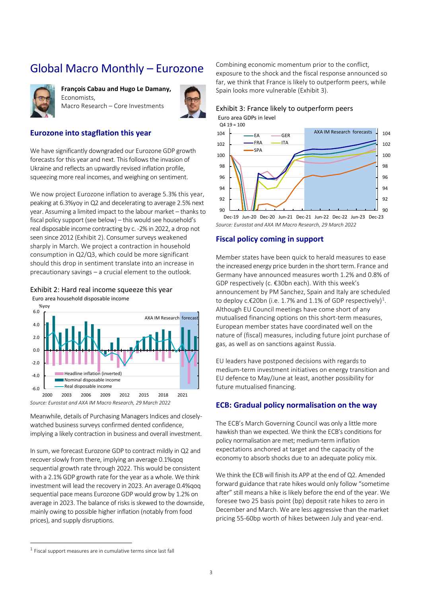# <span id="page-2-0"></span>Global Macro Monthly – Eurozone



**François Cabau and Hugo Le Damany,**  Economists, Macro Research – Core Investments



### **Eurozone into stagflation this year**

We have significantly downgraded our Eurozone GDP growth forecasts for this year and next. This follows the invasion of Ukraine and reflects an upwardly revised inflation profile, squeezing more real incomes, and weighing on sentiment.

We now project Eurozone inflation to average 5.3% this year, peaking at 6.3%yoy in Q2 and decelerating to average 2.5% next year. Assuming a limited impact to the labour market – thanks to fiscal policy support (see below) – this would see household's real disposable income contracting by c. -2% in 2022, a drop not seen since 2012 [\(Exhibit 2\)](#page-2-1). Consumer surveys weakened sharply in March. We project a contraction in household consumption in Q2/Q3, which could be more significant should this drop in sentiment translate into an increase in precautionary savings – a crucial element to the outlook.

<span id="page-2-1"></span>

Euro area household disposable income



Meanwhile, details of Purchasing Managers Indices and closelywatched business surveys confirmed dented confidence, implying a likely contraction in business and overall investment.

In sum, we forecast Eurozone GDP to contract mildly in Q2 and recover slowly from there, implying an average 0.1%qoq sequential growth rate through 2022. This would be consistent with a 2.1% GDP growth rate for the year as a whole. We think investment will lead the recovery in 2023. An average 0.4%qoq sequential pace means Eurozone GDP would grow by 1.2% on average in 2023. The balance of risks is skewed to the downside, mainly owing to possible higher inflation (notably from food prices), and supply disruptions.

Combining economic momentum prior to the conflict,

exposure to the shock and the fiscal response announced so far, we think that France is likely to outperform peers, while Spain looks more vulnerable [\(Exhibit 3\)](#page-2-2).

#### <span id="page-2-2"></span>Exhibit 3: France likely to outperform peers Euro area GDPs in level



*Source: Eurostat and AXA IM Macro Research, 29 March 2022* Dec-19 Jun-20 Dec-20 Jun-21 Dec-21 Jun-22 Dec-22 Jun-23 Dec-23

#### **Fiscal policy coming in support**

Member states have been quick to herald measures to ease the increased energy price burden in the short term. France and Germany have announced measures worth 1.2% and 0.8% of GDP respectively (c. €30bn each). With this week's announcement by PM Sanchez, Spain and Italy are scheduled to deploy c.€20bn (i.e. 1.7% and 1.1% of GDP respectively)<sup>1</sup>. Although EU Council meetings have come short of any mutualised financing options on this short-term measures, European member states have coordinated well on the nature of (fiscal) measures, including future joint purchase of gas, as well as on sanctions against Russia.

EU leaders have postponed decisions with regards to medium-term investment initiatives on energy transition and EU defence to May/June at least, another possibility for future mutualised financing.

### **ECB: Gradual policy normalisation on the way**

The ECB's March Governing Council was only a little more hawkish than we expected. We think the ECB's conditions for policy normalisation are met; medium-term inflation expectations anchored at target and the capacity of the economy to absorb shocks due to an adequate policy mix.

We think the ECB will finish its APP at the end of Q2. Amended forward guidance that rate hikes would only follow "sometime after" still means a hike is likely before the end of the year. We foresee two 25 basis point (bp) deposit rate hikes to zero in December and March. We are less aggressive than the market pricing 55-60bp worth of hikes between July and year-end.

 $<sup>1</sup>$  Fiscal support measures are in cumulative terms since last fall</sup>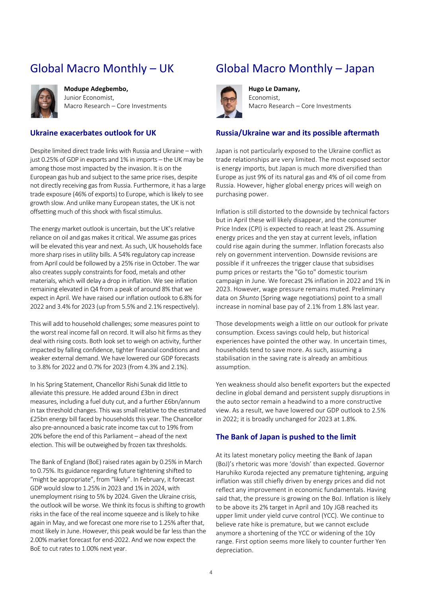# <span id="page-3-0"></span>Global Macro Monthly – UK



**Modupe Adegbembo,**  Junior Economist, Macro Research – Core Investments

### **Ukraine exacerbates outlook for UK**

Despite limited direct trade links with Russia and Ukraine – with just 0.25% of GDP in exports and 1% in imports – the UK may be among those most impacted by the invasion. It is on the European gas hub and subject to the same price rises, despite not directly receiving gas from Russia. Furthermore, it has a large trade exposure (46% of exports) to Europe, which is likely to see growth slow. And unlike many European states, the UK is not offsetting much of this shock with fiscal stimulus.

The energy market outlook is uncertain, but the UK's relative reliance on oil and gas makes it critical. We assume gas prices will be elevated this year and next. As such, UK households face more sharp rises in utility bills. A 54% regulatory cap increase from April could be followed by a 25% rise in October. The war also creates supply constraints for food, metals and other materials, which will delay a drop in inflation. We see inflation remaining elevated in Q4 from a peak of around 8% that we expect in April. We have raised our inflation outlook to 6.8% for 2022 and 3.4% for 2023 (up from 5.5% and 2.1% respectively).

This will add to household challenges; some measures point to the worst real income fall on record. It will also hit firms as they deal with rising costs. Both look set to weigh on activity, further impacted by falling confidence, tighter financial conditions and weaker external demand. We have lowered our GDP forecasts to 3.8% for 2022 and 0.7% for 2023 (from 4.3% and 2.1%).

In his Spring Statement, Chancellor Rishi Sunak did little to alleviate this pressure. He added around £3bn in direct measures, including a fuel duty cut, and a further £6bn/annum in tax threshold changes. This was small relative to the estimated £25bn energy bill faced by households this year. The Chancellor also pre-announced a basic rate income tax cut to 19% from 20% before the end of this Parliament – ahead of the next election. This will be outweighed by frozen tax thresholds.

<span id="page-3-1"></span>The Bank of England (BoE) raised rates again by 0.25% in March to 0.75%. Its guidance regarding future tightening shifted to "might be appropriate", from "likely". In February, it forecast GDP would slow to 1.25% in 2023 and 1% in 2024, with unemployment rising to 5% by 2024. Given the Ukraine crisis, the outlook will be worse. We think its focus is shifting to growth risks in the face of the real income squeeze and is likely to hike again in May, and we forecast one more rise to 1.25% after that, most likely in June. However, this peak would be far less than the 2.00% market forecast for end-2022. And we now expect the BoE to cut rates to 1.00% next year.

# Global Macro Monthly – Japan



**Hugo Le Damany,**  Economist, Macro Research – Core Investments

#### **Russia/Ukraine war and its possible aftermath**

Japan is not particularly exposed to the Ukraine conflict as trade relationships are very limited. The most exposed sector is energy imports, but Japan is much more diversified than Europe as just 9% of its natural gas and 4% of oil come from Russia. However, higher global energy prices will weigh on purchasing power.

Inflation is still distorted to the downside by technical factors but in April these will likely disappear, and the consumer Price Index (CPI) is expected to reach at least 2%. Assuming energy prices and the yen stay at current levels, inflation could rise again during the summer. Inflation forecasts also rely on government intervention. Downside revisions are possible if it unfreezes the trigger clause that subsidises pump prices or restarts the "Go to" domestic tourism campaign in June. We forecast 2% inflation in 2022 and 1% in 2023. However, wage pressure remains muted. Preliminary data on *Shunto* (Spring wage negotiations) point to a small increase in nominal base pay of 2.1% from 1.8% last year.

Those developments weigh a little on our outlook for private consumption. Excess savings could help, but historical experiences have pointed the other way. In uncertain times, households tend to save more. As such, assuming a stabilisation in the saving rate is already an ambitious assumption.

Yen weakness should also benefit exporters but the expected decline in global demand and persistent supply disruptions in the auto sector remain a headwind to a more constructive view. As a result, we have lowered our GDP outlook to 2.5% in 2022; it is broadly unchanged for 2023 at 1.8%.

### **The Bank of Japan is pushed to the limit**

At its latest monetary policy meeting the Bank of Japan (BoJ)'s rhetoric was more 'dovish' than expected. Governor Haruhiko Kuroda rejected any premature tightening, arguing inflation was still chiefly driven by energy prices and did not reflect any improvement in economic fundamentals. Having said that, the pressure is growing on the BoJ. Inflation is likely to be above its 2% target in April and 10y JGB reached its upper limit under yield curve control (YCC). We continue to believe rate hike is premature, but we cannot exclude anymore a shortening of the YCC or widening of the 10y range. First option seems more likely to counter further Yen depreciation.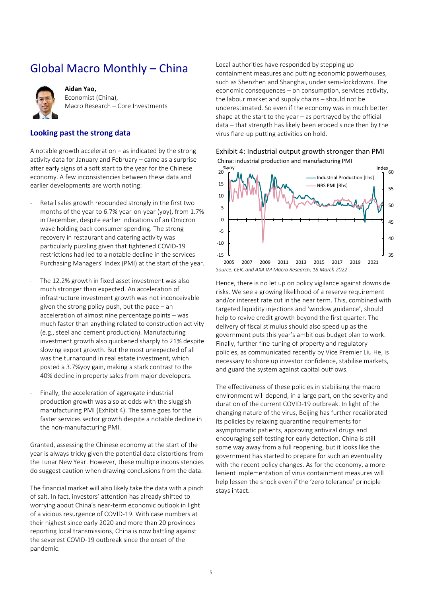# <span id="page-4-0"></span>Global Macro Monthly – China



**Aidan Yao,**  Economist (China), Macro Research – Core Investments

### **Looking past the strong data**

A notable growth acceleration – as indicated by the strong activity data for January and February – came as a surprise after early signs of a soft start to the year for the Chinese economy. A few inconsistencies between these data and earlier developments are worth noting:

- Retail sales growth rebounded strongly in the first two months of the year to 6.7% year-on-year (yoy), from 1.7% in December, despite earlier indications of an Omicron wave holding back consumer spending. The strong recovery in restaurant and catering activity was particularly puzzling given that tightened COVID-19 restrictions had led to a notable decline in the services Purchasing Managers' Index (PMI) at the start of the year.
- The 12.2% growth in fixed asset investment was also much stronger than expected. An acceleration of infrastructure investment growth was not inconceivable given the strong policy push, but the pace – an acceleration of almost nine percentage points – was much faster than anything related to construction activity (e.g., steel and cement production). Manufacturing investment growth also quickened sharply to 21% despite slowing export growth. But the most unexpected of all was the turnaround in real estate investment, which posted a 3.7%yoy gain, making a stark contrast to the 40% decline in property sales from major developers.
- Finally, the acceleration of aggregate industrial production growth was also at odds with the sluggish manufacturing PMI [\(Exhibit 4\)](#page-4-1). The same goes for the faster services sector growth despite a notable decline in the non-manufacturing PMI.

Granted, assessing the Chinese economy at the start of the year is always tricky given the potential data distortions from the Lunar New Year. However, these multiple inconsistencies do suggest caution when drawing conclusions from the data.

The financial market will also likely take the data with a pinch of salt. In fact, investors' attention has already shifted to worrying about China's near-term economic outlook in light of a vicious resurgence of COVID-19. With case numbers at their highest since early 2020 and more than 20 provinces reporting local transmissions, China is now battling against the severest COVID-19 outbreak since the onset of the pandemic.

Local authorities have responded by stepping up containment measures and putting economic powerhouses, such as Shenzhen and Shanghai, under semi-lockdowns. The economic consequences – on consumption, services activity, the labour market and supply chains – should not be underestimated. So even if the economy was in much better shape at the start to the year  $-$  as portrayed by the official data – that strength has likely been eroded since then by the virus flare-up putting activities on hold.



<span id="page-4-1"></span>Exhibit 4: Industrial output growth stronger than PMI China: industrial production and manufacturing PMI

Hence, there is no let up on policy vigilance against downside risks. We see a growing likelihood of a reserve requirement and/or interest rate cut in the near term. This, combined with targeted liquidity injections and 'window guidance', should help to revive credit growth beyond the first quarter. The delivery of fiscal stimulus should also speed up as the government puts this year's ambitious budget plan to work. Finally, further fine-tuning of property and regulatory policies, as communicated recently by Vice Premier Liu He, is necessary to shore up investor confidence, stabilise markets, and guard the system against capital outflows.

The effectiveness of these policies in stabilising the macro environment will depend, in a large part, on the severity and duration of the current COVID-19 outbreak. In light of the changing nature of the virus, Beijing has further recalibrated its policies by relaxing quarantine requirements for asymptomatic patients, approving antiviral drugs and encouraging self-testing for early detection. China is still some way away from a full reopening, but it looks like the government has started to prepare for such an eventuality with the recent policy changes. As for the economy, a more lenient implementation of virus containment measures will help lessen the shock even if the 'zero tolerance' principle stays intact.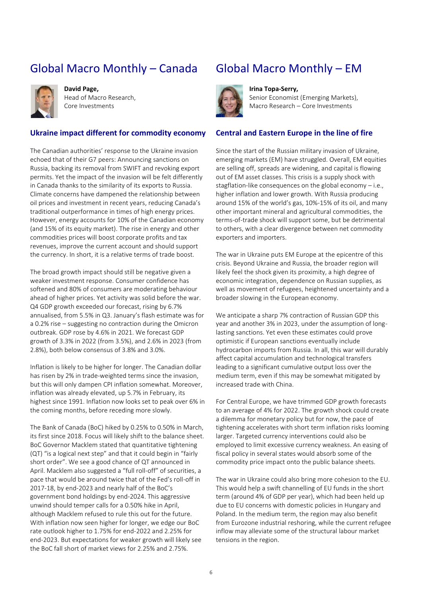# Global Macro Monthly – Canada



**David Page,**  Head of Macro Research, Core Investments

#### **Ukraine impact different for commodity economy**

The Canadian authorities' response to the Ukraine invasion echoed that of their G7 peers: Announcing sanctions on Russia, backing its removal from SWIFT and revoking export permits. Yet the impact of the invasion will be felt differently in Canada thanks to the similarity of its exports to Russia. Climate concerns have dampened the relationship between oil prices and investment in recent years, reducing Canada's traditional outperformance in times of high energy prices. However, energy accounts for 10% of the Canadian economy (and 15% of its equity market). The rise in energy and other commodities prices will boost corporate profits and tax revenues, improve the current account and should support the currency. In short, it is a relative terms of trade boost.

The broad growth impact should still be negative given a weaker investment response. Consumer confidence has softened and 80% of consumers are moderating behaviour ahead of higher prices. Yet activity was solid before the war. Q4 GDP growth exceeded our forecast, rising by 6.7% annualised, from 5.5% in Q3. January's flash estimate was for a 0.2% rise – suggesting no contraction during the Omicron outbreak. GDP rose by 4.6% in 2021. We forecast GDP growth of 3.3% in 2022 (from 3.5%), and 2.6% in 2023 (from 2.8%), both below consensus of 3.8% and 3.0%.

Inflation is likely to be higher for longer. The Canadian dollar has risen by 2% in trade-weighted terms since the invasion, but this will only dampen CPI inflation somewhat. Moreover, inflation was already elevated, up 5.7% in February, its highest since 1991. Inflation now looks set to peak over 6% in the coming months, before receding more slowly.

The Bank of Canada (BoC) hiked by 0.25% to 0.50% in March, its first since 2018. Focus will likely shift to the balance sheet. BoC Governor Macklem stated that quantitative tightening (QT) "is a logical next step" and that it could begin in "fairly short order". We see a good chance of QT announced in April. Macklem also suggested a "full roll-off" of securities, a pace that would be around twice that of the Fed's roll-off in 2017-18, by end-2023 and nearly half of the BoC's government bond holdings by end-2024. This aggressive unwind should temper calls for a 0.50% hike in April, although Macklem refused to rule this out for the future. With inflation now seen higher for longer, we edge our BoC rate outlook higher to 1.75% for end-2022 and 2.25% for end-2023. But expectations for weaker growth will likely see the BoC fall short of market views for 2.25% and 2.75%.

## <span id="page-5-0"></span>Global Macro Monthly – EM



**Irina Topa-Serry,** 

Senior Economist (Emerging Markets), Macro Research – Core Investments

#### **Central and Eastern Europe in the line of fire**

Since the start of the Russian military invasion of Ukraine, emerging markets (EM) have struggled. Overall, EM equities are selling off, spreads are widening, and capital is flowing out of EM asset classes. This crisis is a supply shock with stagflation-like consequences on the global economy – i.e., higher inflation and lower growth. With Russia producing around 15% of the world's gas, 10%-15% of its oil, and many other important mineral and agricultural commodities, the terms-of-trade shock will support some, but be detrimental to others, with a clear divergence between net commodity exporters and importers.

The war in Ukraine puts EM Europe at the epicentre of this crisis. Beyond Ukraine and Russia, the broader region will likely feel the shock given its proximity, a high degree of economic integration, dependence on Russian supplies, as well as movement of refugees, heightened uncertainty and a broader slowing in the European economy.

We anticipate a sharp 7% contraction of Russian GDP this year and another 3% in 2023, under the assumption of longlasting sanctions. Yet even these estimates could prove optimistic if European sanctions eventually include hydrocarbon imports from Russia. In all, this war will durably affect capital accumulation and technological transfers leading to a significant cumulative output loss over the medium term, even if this may be somewhat mitigated by increased trade with China.

For Central Europe, we have trimmed GDP growth forecasts to an average of 4% for 2022. The growth shock could create a dilemma for monetary policy but for now, the pace of tightening accelerates with short term inflation risks looming larger. Targeted currency interventions could also be employed to limit excessive currency weakness. An easing of fiscal policy in several states would absorb some of the commodity price impact onto the public balance sheets.

The war in Ukraine could also bring more cohesion to the EU. This would help a swift channelling of EU funds in the short term (around 4% of GDP per year), which had been held up due to EU concerns with domestic policies in Hungary and Poland. In the medium term, the region may also benefit from Eurozone industrial reshoring, while the current refugee inflow may alleviate some of the structural labour market tensions in the region.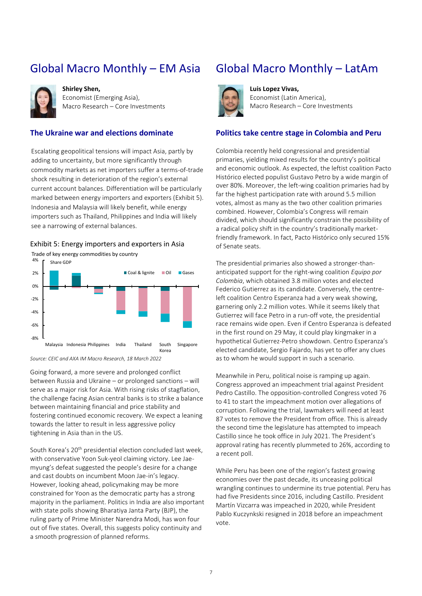# Global Macro Monthly – EM Asia



**Shirley Shen,**  Economist (Emerging Asia), Macro Research – Core Investments

### **The Ukraine war and elections dominate**

Escalating geopolitical tensions will impact Asia, partly by adding to uncertainty, but more significantly through commodity markets as net importers suffer a terms-of-trade shock resulting in deterioration of the region's external current account balances. Differentiation will be particularly marked between energy importers and exporters [\(Exhibit 5\)](#page-6-0). Indonesia and Malaysia will likely benefit, while energy importers such as Thailand, Philippines and India will likely see a narrowing of external balances.

#### <span id="page-6-0"></span>Exhibit 5: Energy importers and exporters in Asia

Trade of key energy commodities by country



*Source: CEIC and AXA IM Macro Research, 18 March 2022*

Going forward, a more severe and prolonged conflict between Russia and Ukraine – or prolonged sanctions – will serve as a major risk for Asia. With rising risks of stagflation, the challenge facing Asian central banks is to strike a balance between maintaining financial and price stability and fostering continued economic recovery. We expect a leaning towards the latter to result in less aggressive policy tightening in Asia than in the US.

South Korea's 20th presidential election concluded last week, with conservative Yoon Suk-yeol claiming victory. Lee Jaemyung's defeat suggested the people's desire for a change and cast doubts on incumbent Moon Jae-in's legacy. However, looking ahead, policymaking may be more constrained for Yoon as the democratic party has a strong majority in the parliament. Politics in India are also important with state polls showing Bharatiya Janta Party (BJP), the ruling party of Prime Minister Narendra Modi, has won four out of five states. Overall, this suggests policy continuity and a smooth progression of planned reforms.

### Global Macro Monthly – LatAm



**Luis Lopez Vivas,**  Economist (Latin America), Macro Research – Core Investments

#### **Politics take centre stage in Colombia and Peru**

Colombia recently held congressional and presidential primaries, yielding mixed results for the country's political and economic outlook. As expected, the leftist coalition Pacto Histórico elected populist Gustavo Petro by a wide margin of over 80%. Moreover, the left-wing coalition primaries had by far the highest participation rate with around 5.5 million votes, almost as many as the two other coalition primaries combined. However, Colombia's Congress will remain divided, which should significantly constrain the possibility of a radical policy shift in the country's traditionally marketfriendly framework. In fact, Pacto Histórico only secured 15% of Senate seats.

The presidential primaries also showed a stronger-thananticipated support for the right-wing coalition *Equipo por Colombia*, which obtained 3.8 million votes and elected Federico Gutierrez as its candidate. Conversely, the centreleft coalition Centro Esperanza had a very weak showing, garnering only 2.2 million votes. While it seems likely that Gutierrez will face Petro in a run-off vote, the presidential race remains wide open. Even if Centro Esperanza is defeated in the first round on 29 May, it could play kingmaker in a hypothetical Gutierrez-Petro showdown. Centro Esperanza's elected candidate, Sergio Fajardo, has yet to offer any clues as to whom he would support in such a scenario.

Meanwhile in Peru, political noise is ramping up again. Congress approved an impeachment trial against President Pedro Castillo. The opposition-controlled Congress voted 76 to 41 to start the impeachment motion over allegations of corruption. Following the trial, lawmakers will need at least 87 votes to remove the President from office. This is already the second time the legislature has attempted to impeach Castillo since he took office in July 2021. The President's approval rating has recently plummeted to 26%, according to a recent poll.

While Peru has been one of the region's fastest growing economies over the past decade, its unceasing political wrangling continues to undermine its true potential. Peru has had five Presidents since 2016, including Castillo. President Martín Vizcarra was impeached in 2020, while President Pablo Kuczynkski resigned in 2018 before an impeachment vote.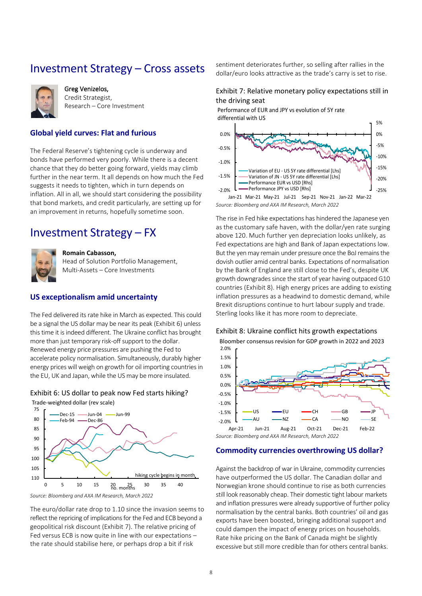### <span id="page-7-0"></span>Investment Strategy – Cross assets



Greg Venizelos, Credit Strategist, Research – Core Investment

### **Global yield curves: Flat and furious**

The Federal Reserve's tightening cycle is underway and bonds have performed very poorly. While there is a decent chance that they do better going forward, yields may climb further in the near term. It all depends on how much the Fed suggests it needs to tighten, which in turn depends on inflation. All in all, we should start considering the possibility that bond markets, and credit particularly, are setting up for an improvement in returns, hopefully sometime soon.

### <span id="page-7-1"></span>Investment Strategy – FX



#### **Romain Cabasson,**

Head of Solution Portfolio Management, Multi-Assets – Core Investments

### **US exceptionalism amid uncertainty**

The Fed delivered its rate hike in March as expected. This could be a signal the US dollar may be near its peak [\(Exhibit 6\)](#page-7-2) unless this time it is indeed different. The Ukraine conflict has brought more than just temporary risk-off support to the dollar. Renewed energy price pressures are pushing the Fed to accelerate policy normalisation. Simultaneously, durably higher energy prices will weigh on growth for oil importing countries in the EU, UK and Japan, while the US may be more insulated.

#### <span id="page-7-2"></span>Exhibit 6: US dollar to peak now Fed starts hiking? Trade-weighted dollar (rev scale)



The euro/dollar rate drop to 1.10 since the invasion seems to reflect the repricing of implications for the Fed and ECB beyond a geopolitical risk discount [\(Exhibit 7\)](#page-7-3). The relative pricing of Fed versus ECB is now quite in line with our expectations – the rate should stabilise here, or perhaps drop a bit if risk

sentiment deteriorates further, so selling after rallies in the dollar/euro looks attractive as the trade's carry is set to rise.

#### <span id="page-7-3"></span>Exhibit 7: Relative monetary policy expectations still in the driving seat

Performance of EUR and JPY vs evolution of 5Y rate differential with US



*Source: Bloomberg and AXA IM Research, March 2022*

The rise in Fed hike expectations has hindered the Japanese yen as the customary safe haven, with the dollar/yen rate surging above 120. Much further yen depreciation looks unlikely, as Fed expectations are high and Bank of Japan expectations low. But the yen may remain under pressure once the BoJ remains the dovish outlier amid central banks. Expectations of normalisation by the Bank of England are still close to the Fed's, despite UK growth downgrades since the start of year having outpaced G10 countries [\(Exhibit 8\)](#page-7-4). High energy prices are adding to existing inflation pressures as a headwind to domestic demand, while Brexit disruptions continue to hurt labour supply and trade. Sterling looks like it has more room to depreciate.

#### <span id="page-7-4"></span>Exhibit 8: Ukraine conflict hits growth expectations

Bloomber consensus revision for GDP growth in 2022 and 2023



#### **Commodity currencies overthrowing US dollar?**

Against the backdrop of war in Ukraine, commodity currencies have outperformed the US dollar. The Canadian dollar and Norwegian krone should continue to rise as both currencies still look reasonably cheap. Their domestic tight labour markets and inflation pressures were already supportive of further policy normalisation by the central banks. Both countries' oil and gas exports have been boosted, bringing additional support and could dampen the impact of energy prices on households. Rate hike pricing on the Bank of Canada might be slightly excessive but still more credible than for others central banks.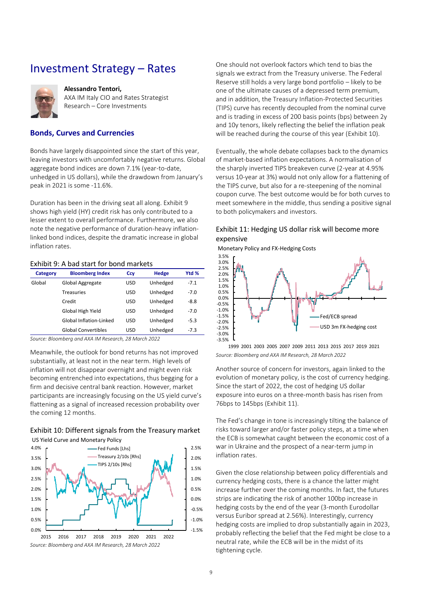### <span id="page-8-0"></span>Investment Strategy – Rates



#### **Alessandro Tentori,**

AXA IM Italy CIO and Rates Strategist Research – Core Investments

#### **Bonds, Curves and Currencies**

Bonds have largely disappointed since the start of this year, leaving investors with uncomfortably negative returns. Global aggregate bond indices are down 7.1% (year-to-date, unhedged in US dollars), while the drawdown from January's peak in 2021 is some -11.6%.

Duration has been in the driving seat all along. [Exhibit 9](#page-8-1) shows high yield (HY) credit risk has only contributed to a lesser extent to overall performance. Furthermore, we also note the negative performance of duration-heavy inflationlinked bond indices, despite the dramatic increase in global inflation rates.

#### <span id="page-8-1"></span>Exhibit 9: A bad start for bond markets

| <b>Category</b> | <b>Bloomberg Index</b>     | Ccy | Hedge    | Ytd %  |
|-----------------|----------------------------|-----|----------|--------|
| Global          | Global Aggregate           | USD | Unhedged | $-7.1$ |
|                 | <b>Treasuries</b>          | USD | Unhedged | $-7.0$ |
|                 | Credit                     | USD | Unhedged | -8.8   |
|                 | Global High Yield          | USD | Unhedged | $-7.0$ |
|                 | Global Inflation-Linked    | USD | Unhedged | $-5.3$ |
|                 | <b>Global Convertibles</b> | USD | Unhedged | $-7.3$ |

*Source: Bloomberg and AXA IM Research, 28 March 2022*

Meanwhile, the outlook for bond returns has not improved substantially, at least not in the near term. High levels of inflation will not disappear overnight and might even risk becoming entrenched into expectations, thus begging for a firm and decisive central bank reaction. However, market participants are increasingly focusing on the US yield curve's flattening as a signal of increased recession probability over the coming 12 months.

<span id="page-8-2"></span>



*Source: Bloomberg and AXA IM Research, 28 March 2022*

One should not overlook factors which tend to bias the signals we extract from the Treasury universe. The Federal Reserve still holds a very large bond portfolio – likely to be one of the ultimate causes of a depressed term premium, and in addition, the Treasury Inflation-Protected Securities (TIPS) curve has recently decoupled from the nominal curve and is trading in excess of 200 basis points (bps) between 2y and 10y tenors, likely reflecting the belief the inflation peak will be reached during the course of this year [\(Exhibit 10\)](#page-8-2).

Eventually, the whole debate collapses back to the dynamics of market-based inflation expectations. A normalisation of the sharply inverted TIPS breakeven curve (2-year at 4.95% versus 10-year at 3%) would not only allow for a flattening of the TIPS curve, but also for a re-steepening of the nominal coupon curve. The best outcome would be for both curves to meet somewhere in the middle, thus sending a positive signal to both policymakers and investors.

#### <span id="page-8-3"></span>Exhibit 11: Hedging US dollar risk will become more expensive

Monetary Policy and FX-Hedging Costs



*Source: Bloomberg and AXA IM Research, 28 March 2022* 1999 2001 2003 2005 2007 2009 2011 2013 2015 2017 2019 2021

Another source of concern for investors, again linked to the evolution of monetary policy, is the cost of currency hedging. Since the start of 2022, the cost of hedging US dollar exposure into euros on a three-month basis has risen from 76bps to 145bps [\(Exhibit 11\)](#page-8-3).

The Fed's change in tone is increasingly tilting the balance of risks toward larger and/or faster policy steps, at a time when the ECB is somewhat caught between the economic cost of a war in Ukraine and the prospect of a near-term jump in inflation rates.

Given the close relationship between policy differentials and currency hedging costs, there is a chance the latter might increase further over the coming months. In fact, the futures strips are indicating the risk of another 100bp increase in hedging costs by the end of the year (3-month Eurodollar versus Euribor spread at 2.56%). Interestingly, currency hedging costs are implied to drop substantially again in 2023, probably reflecting the belief that the Fed might be close to a neutral rate, while the ECB will be in the midst of its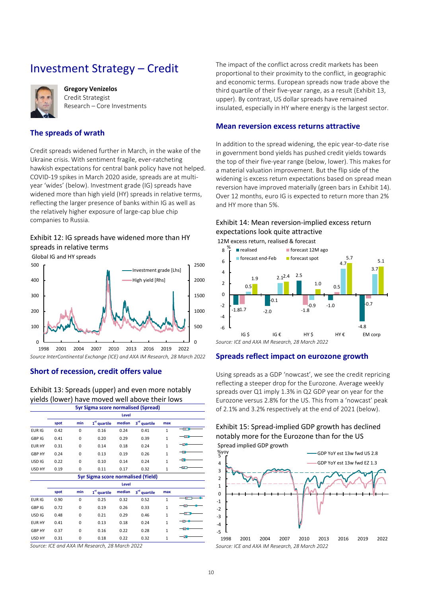# <span id="page-9-0"></span>Investment Strategy – Credit



**Gregory Venizelos** Credit Strategist Research – Core Investments

### **The spreads of wrath**

Credit spreads widened further in March, in the wake of the Ukraine crisis. With sentiment fragile, ever-ratcheting hawkish expectations for central bank policy have not helped. COVID-19 spikes in March 2020 aside, spreads are at multiyear 'wides' ([below\)](#page-9-1). Investment grade (IG) spreads have widened more than high yield (HY) spreads in relative terms, reflecting the larger presence of banks within IG as well as the relatively higher exposure of large-cap blue chip companies to Russia.

### <span id="page-9-1"></span>Exhibit 12: IG spreads have widened more than HY spreads in relative terms

Global IG and HY spreads



*Source InterContinental Exchange (ICE) and AXA IM Research, 28 March 2022*

**Short of recession, credit offers value**

<span id="page-9-2"></span>Exhibit 13: Spreads (upper) and even more notably yields (lower) have moved well above their lows

| <b>5yr Sigma score normalised (Spread)</b> |       |          |                                           |              |                          |              |           |  |  |  |
|--------------------------------------------|-------|----------|-------------------------------------------|--------------|--------------------------|--------------|-----------|--|--|--|
|                                            | Level |          |                                           |              |                          |              |           |  |  |  |
|                                            | spot  | min      | 1 <sup>st</sup> quartile                  | median       | 3rd quartile             | max          |           |  |  |  |
| EUR <sub>IG</sub>                          | 0.42  | $\Omega$ | 0.16                                      | 0.24         | 0.41                     | 1            | $-\sigma$ |  |  |  |
| GBP IG                                     | 0.41  | 0        | 0.20                                      | 0.29         | 0.39                     | $\mathbf{1}$ | -তে       |  |  |  |
| <b>EUR HY</b>                              | 0.31  | $\Omega$ | 0.14                                      | 0.18         | 0.24                     | $\mathbf{1}$ | -ок       |  |  |  |
| <b>GBP HY</b>                              | 0.24  | $\Omega$ | 0.13                                      | 0.19         | 0.26                     | $\mathbf{1}$ | -10       |  |  |  |
| USD <sub>IG</sub>                          | 0.22  | $\Omega$ | 0.10                                      | 0.14         | 0.24                     | $\mathbf{1}$ |           |  |  |  |
| USD HY                                     | 0.19  | 0        | 0.11                                      | 0.17         | 0.32                     | $\mathbf{1}$ | ⊣റ⊓       |  |  |  |
|                                            |       |          | <b>5yr Sigma score normalised (Yield)</b> |              |                          |              |           |  |  |  |
|                                            |       |          |                                           | <b>Level</b> |                          |              |           |  |  |  |
|                                            | spot  | min      | 1 <sup>st</sup> quartile                  | median       | 3 <sup>rd</sup> quartile | max          |           |  |  |  |
| EUR IG                                     | 0.90  | $\Omega$ | 0.25                                      | 0.32         | 0.52                     | 1            | ক         |  |  |  |
| GBP IG                                     | 0.72  | $\Omega$ | 0.19                                      | 0.26         | 0.33                     | $\mathbf{1}$ | O.        |  |  |  |
| USD <sub>IG</sub>                          | 0.48  | $\Omega$ | 0.21                                      | 0.29         | 0.46                     | $\mathbf{1}$ | ∙ਾ        |  |  |  |
| <b>EUR HY</b>                              | 0.41  | $\Omega$ | 0.13                                      | 0.18         | 0.24                     | $\mathbf{1}$ |           |  |  |  |
| <b>GBP HY</b>                              | 0.37  | $\Omega$ | 0.16                                      | 0.22         | 0.28                     | $\mathbf{1}$ | юк        |  |  |  |
| USD HY                                     | 0.31  | $\Omega$ | 0.18                                      | 0.22         | 0.32                     | $\mathbf 1$  |           |  |  |  |

*Source: ICE and AXA IM Research, 28 March 2022*

The impact of the conflict across credit markets has been proportional to their proximity to the conflict, in geographic and economic terms. European spreads now trade above the third quartile of their five-year range, as a result [\(Exhibit 13,](#page-9-2) upper). By contrast, US dollar spreads have remained insulated, especially in HY where energy is the largest sector.

#### **Mean reversion excess returns attractive**

In addition to the spread widening, the epic year-to-date rise in government bond yields has pushed credit yields towards the top of their five-year range [\(below,](#page-9-3) lower). This makes for a material valuation improvement. But the flip side of the widening is excess return expectations based on spread mean reversion have improved materially (green bars in [Exhibit 14\)](#page-9-3). Over 12 months, euro IG is expected to return more than 2% and HY more than 5%.

### <span id="page-9-3"></span>Exhibit 14: Mean reversion-implied excess return expectations look quite attractive

12M excess return, realised & forecast



### **Spreads reflect impact on eurozone growth**

Using spreads as a GDP 'nowcast', we see the credit repricing reflecting a steeper drop for the Eurozone. Average weekly spreads over Q1 imply 1.3% in Q2 GDP year on year for the Eurozone versus 2.8% for the US. This from a 'nowcast' peak of 2.1% and 3.2% respectively at the end of 2021 [\(below\)](#page-9-4).

<span id="page-9-4"></span>

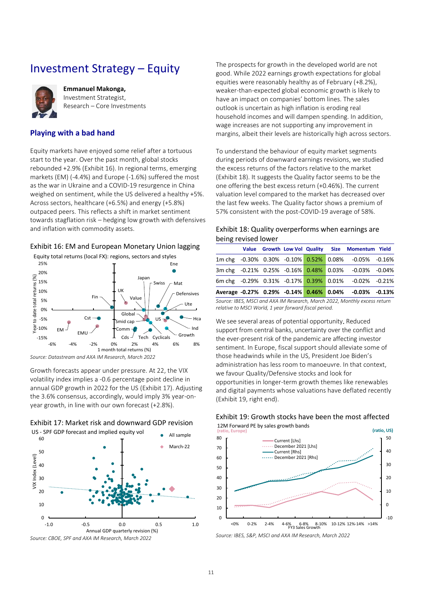## <span id="page-10-0"></span>Investment Strategy – Equity



**Emmanuel Makonga,**  Investment Strategist, Research – Core Investments

### **Playing with a bad hand**

Equity markets have enjoyed some relief after a tortuous start to the year. Over the past month, global stocks rebounded +2.9% [\(Exhibit 16\)](#page-10-1). In regional terms, emerging markets (EM) (-4.4%) and Europe (-1.6%) suffered the most as the war in Ukraine and a COVID-19 resurgence in China weighed on sentiment, while the US delivered a healthy +5%. Across sectors, healthcare (+6.5%) and energy (+5.8%) outpaced peers. This reflects a shift in market sentiment towards stagflation risk – hedging low growth with defensives and inflation with commodity assets.

#### <span id="page-10-1"></span>Exhibit 16: EM and European Monetary Union lagging

Equity total returns (local FX): regions, sectors and styles



*Source: Datastream and AXA IM Research, March 2022*

Growth forecasts appear under pressure. At 22, the VIX volatility index implies a -0.6 percentage point decline in annual GDP growth in 2022 for the US [\(Exhibit 17\)](#page-10-2). Adjusting the 3.6% consensus, accordingly, would imply 3% year-onyear growth, in line with our own forecast (+2.8%).



The prospects for growth in the developed world are not good. While 2022 earnings growth expectations for global equities were reasonably healthy as of February (+8.2%), weaker-than-expected global economic growth is likely to have an impact on companies' bottom lines. The sales outlook is uncertain as high inflation is eroding real household incomes and will dampen spending. In addition, wage increases are not supporting any improvement in margins, albeit their levels are historically high across sectors.

To understand the behaviour of equity market segments during periods of downward earnings revisions, we studied the excess returns of the factors relative to the market [\(Exhibit 18\)](#page-10-3). It suggests the Quality factor seems to be the one offering the best excess return (+0.46%). The current valuation level compared to the market has decreased over the last few weeks. The Quality factor shows a premium of 57% consistent with the post-COVID-19 average of 58%.

#### <span id="page-10-3"></span>Exhibit 18: Quality overperforms when earnings are being revised lower

|  |  |  | Value Growth Low Vol Quality Size Momentum Yield      |  |
|--|--|--|-------------------------------------------------------|--|
|  |  |  | 1m chg -0.30% 0.30% -0.10% 0.52% 0.08% -0.05% -0.16%  |  |
|  |  |  | 3m chg -0.21% 0.25% -0.16% 0.48% 0.03% -0.03% -0.04%  |  |
|  |  |  | 6m chg -0.29% 0.31% -0.17% 0.39% 0.01% -0.02% -0.21%  |  |
|  |  |  | Average -0.27% 0.29% -0.14% 0.46% 0.04% -0.03% -0.13% |  |

*Source: IBES, MSCI and AXA IM Research, March 2022, Monthly excess return relative to MSCI World, 1 year forward fiscal period.*

We see several areas of potential opportunity. Reduced support from central banks, uncertainty over the conflict and the ever-present risk of the pandemic are affecting investor sentiment. In Europe, fiscal support should alleviate some of those headwinds while in the US, President Joe Biden's administration has less room to manoeuvre. In that context, we favour Quality/Defensive stocks and look for opportunities in longer-term growth themes like renewables and digital payments whose valuations have deflated recently [\(Exhibit 19,](#page-10-4) right end).



#### <span id="page-10-4"></span>Exhibit 19: Growth stocks have been the most affected 12M Forward PE by sales growth bands

*Source: IBES, S&P, MSCI and AXA IM Research, March 2022*

# <span id="page-10-2"></span>Exhibit 17: Market risk and downward GDP revision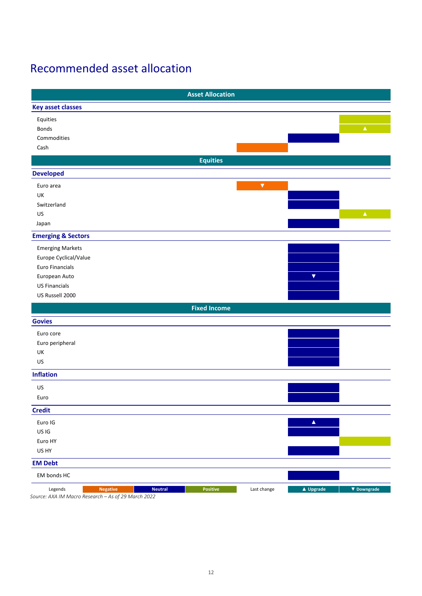# <span id="page-11-0"></span>Recommended asset allocation

|                                                                                                     | <b>Asset Allocation</b> |                          |
|-----------------------------------------------------------------------------------------------------|-------------------------|--------------------------|
| <b>Key asset classes</b>                                                                            |                         |                          |
| Equities                                                                                            |                         |                          |
| <b>Bonds</b>                                                                                        |                         | $\Delta^+$               |
| Commodities                                                                                         |                         |                          |
| Cash                                                                                                |                         |                          |
|                                                                                                     | <b>Equities</b>         |                          |
| <b>Developed</b>                                                                                    |                         |                          |
| Euro area                                                                                           | $\blacktriangledown$    |                          |
| UK                                                                                                  |                         |                          |
| Switzerland                                                                                         |                         |                          |
| US                                                                                                  |                         | $\blacktriangle$         |
| Japan                                                                                               |                         |                          |
| <b>Emerging &amp; Sectors</b>                                                                       |                         |                          |
| <b>Emerging Markets</b>                                                                             |                         |                          |
| Europe Cyclical/Value                                                                               |                         |                          |
| Euro Financials                                                                                     |                         |                          |
| European Auto                                                                                       |                         | $\blacktriangledown$     |
| <b>US Financials</b>                                                                                |                         |                          |
| US Russell 2000                                                                                     |                         |                          |
|                                                                                                     | <b>Fixed Income</b>     |                          |
| <b>Govies</b>                                                                                       |                         |                          |
| Euro core                                                                                           |                         |                          |
| Euro peripheral                                                                                     |                         |                          |
| UK                                                                                                  |                         |                          |
| US                                                                                                  |                         |                          |
|                                                                                                     |                         |                          |
| <b>Inflation</b>                                                                                    |                         |                          |
| US                                                                                                  |                         |                          |
| Euro                                                                                                |                         |                          |
| <b>Credit</b>                                                                                       |                         |                          |
| Euro IG                                                                                             |                         | $\blacktriangle$         |
| US IG                                                                                               |                         |                          |
| Euro HY                                                                                             |                         |                          |
| US HY                                                                                               |                         |                          |
| <b>EM Debt</b>                                                                                      |                         |                          |
| EM bonds HC                                                                                         |                         |                          |
| Legends<br><b>Negative</b><br><b>Neutral</b><br>Source: AXA IM Macro Research – As of 29 March 2022 | Positive<br>Last change | ▲ Upgrade<br>▼ Downgrade |

*Source: AXA IM Macro Research – As of 29 March 2022*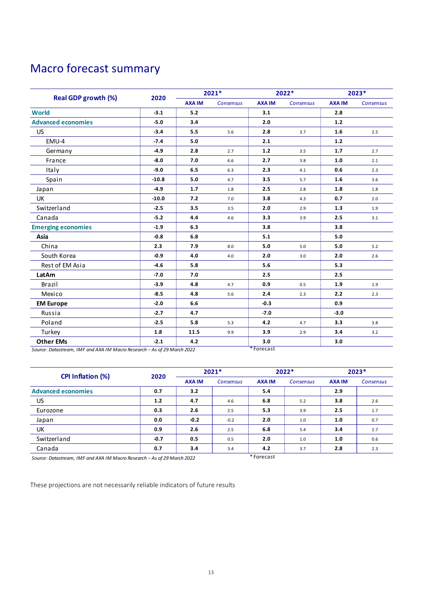# <span id="page-12-0"></span>Macro forecast summary

| <b>Real GDP growth (%)</b> | 2020    | 2021*         |           | 2022*         |           | 2023*         |           |
|----------------------------|---------|---------------|-----------|---------------|-----------|---------------|-----------|
|                            |         | <b>AXA IM</b> | Consensus | <b>AXA IM</b> | Consensus | <b>AXA IM</b> | Consensus |
| <b>World</b>               | $-3.1$  | 5.2           |           | 3.1           |           | 2.8           |           |
| <b>Advanced economies</b>  | $-5.0$  | 3.4           |           | 2.0           |           | $1.2$         |           |
| <b>US</b>                  | $-3.4$  | 5.5           | 5.6       | 2.8           | 3.7       | 1.6           | 2.5       |
| EMU-4                      | $-7.4$  | 5.0           |           | 2.1           |           | $1.2$         |           |
| Germany                    | $-4.9$  | 2.8           | 2.7       | $1.2$         | 3.5       | 1.7           | 2.7       |
| France                     | $-8.0$  | 7.0           | 6.6       | 2.7           | 3.8       | 1.0           | 2.1       |
| Italy                      | $-9.0$  | 6.5           | 6.3       | 2.3           | 4.1       | 0.6           | 2.3       |
| Spain                      | $-10.8$ | 5.0           | 4.7       | 3.5           | 5.7       | 1.6           | 3.6       |
| Japan                      | $-4.9$  | 1.7           | 1.8       | 2.5           | 2.8       | 1.8           | 1.8       |
| <b>UK</b>                  | $-10.0$ | 7.2           | 7.0       | 3.8           | 4.3       | 0.7           | 2.0       |
| Switzerland                | $-2.5$  | 3.5           | 3.5       | 2.0           | 2.9       | 1.3           | 1.9       |
| Canada                     | $-5.2$  | 4.4           | 4.6       | 3.3           | 3.9       | 2.5           | 3.1       |
| <b>Emerging economies</b>  | $-1.9$  | 6.3           |           | 3.8           |           | 3.8           |           |
| Asia                       | $-0.8$  | 6.8           |           | 5.1           |           | 5.0           |           |
| China                      | 2.3     | 7.9           | 8.0       | 5.0           | 5.0       | 5.0           | 5.2       |
| South Korea                | $-0.9$  | 4.0           | 4.0       | 2.0           | 3.0       | 2.0           | 2.6       |
| Rest of EM Asia            | $-4.6$  | 5.8           |           | 5.6           |           | 5.3           |           |
| LatAm                      | $-7.0$  | 7.0           |           | 2.5           |           | 2.5           |           |
| Brazil                     | $-3.9$  | 4.8           | 4.7       | 0.9           | 0.5       | 1.9           | 1.9       |
| Mexico                     | $-8.5$  | 4.8           | 5.6       | 2.4           | 2.3       | 2.2           | 2.3       |
| <b>EM Europe</b>           | $-2.0$  | 6.6           |           | $-0.3$        |           | 0.9           |           |
| Russia                     | $-2.7$  | 4.7           |           | $-7.0$        |           | $-3.0$        |           |
| Poland                     | $-2.5$  | 5.8           | 5.3       | 4.2           | 4.7       | 3.3           | 3.8       |
| Turkey                     | 1.8     | 11.5          | 9.9       | 3.9           | 2.9       | 3.4           | 3.2       |
| <b>Other EMs</b>           | $-2.1$  | 4.2           |           | 3.0           |           | 3.0           |           |

| <b>CPI Inflation (%)</b>  | 2020   | $2021*$       |                  | $2022*$       |           | $2023*$       |                  |
|---------------------------|--------|---------------|------------------|---------------|-----------|---------------|------------------|
|                           |        | <b>AXA IM</b> | <b>Consensus</b> | <b>AXA IM</b> | Consensus | <b>AXA IM</b> | <b>Consensus</b> |
| <b>Advanced economies</b> | 0.7    | 3.2           |                  | 5.4           |           | 2.9           |                  |
| US.                       | 1.2    | 4.7           | 4.6              | 6.8           | 5.2       | 3.8           | 2.6              |
| Eurozone                  | 0.3    | 2.6           | 2.5              | 5.3           | 3.9       | 2.5           | 1.7              |
| Japan                     | 0.0    | $-0.2$        | $-0.2$           | 2.0           | 1.0       | 1.0           | 0.7              |
| UK                        | 0.9    | 2.6           | 2.5              | 6.8           | 5.4       | 3.4           | 2.7              |
| Switzerland               | $-0.7$ | 0.5           | 0.5              | 2.0           | 1.0       | 1.0           | 0.6              |
| Canada                    | 0.7    | 3.4           | 3.4              | 4.2           | 3.7       | 2.8           | 2.3              |

*Source: Datastream, IMF and AXA IM Macro Research − As of 29 March 2022* \* Forecast

These projections are not necessarily reliable indicators of future results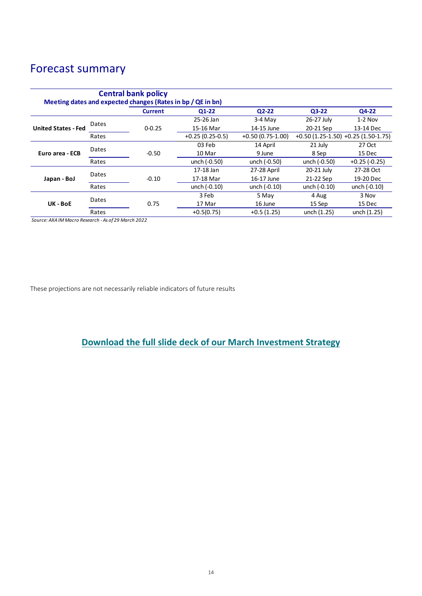# Forecast summary

|                            |       | <b>Central bank policy</b><br>Meeting dates and expected changes (Rates in bp / QE in bn) |                   |                    |                |                                         |
|----------------------------|-------|-------------------------------------------------------------------------------------------|-------------------|--------------------|----------------|-----------------------------------------|
|                            |       | <b>Current</b>                                                                            | $Q1-22$           | $Q2-22$            | $Q3-22$        | Q4-22                                   |
|                            | Dates |                                                                                           | 25-26 Jan         | $3-4$ May          | 26-27 July     | $1-2$ Nov                               |
| <b>United States - Fed</b> |       | $0 - 0.25$                                                                                | 15-16 Mar         | 14-15 June         | 20-21 Sep      | 13-14 Dec                               |
|                            | Rates |                                                                                           | $+0.25(0.25-0.5)$ | $+0.50(0.75-1.00)$ |                | $+0.50$ (1.25-1.50) $+0.25$ (1.50-1.75) |
| Euro area - ECB            | Dates |                                                                                           | 03 Feb            | 14 April           | 21 July        | 27 Oct                                  |
|                            |       | $-0.50$                                                                                   | 10 Mar            | 9 June             | 8 Sep          | 15 Dec                                  |
|                            | Rates |                                                                                           | unch (-0.50)      | unch (-0.50)       | unch (-0.50)   | $+0.25(-0.25)$                          |
|                            | Dates |                                                                                           | 17-18 Jan         | 27-28 April        | 20-21 July     | 27-28 Oct                               |
| Japan - BoJ                |       | $-0.10$                                                                                   | 17-18 Mar         | 16-17 June         | 21-22 Sep      | 19-20 Dec                               |
|                            | Rates |                                                                                           | unch (-0.10)      | unch $(-0.10)$     | unch $(-0.10)$ | unch (-0.10)                            |
|                            | Dates |                                                                                           | 3 Feb             | 5 May              | 4 Aug          | 3 Nov                                   |
| UK - BoE                   |       | 0.75                                                                                      | 17 Mar            | 16 June            | 15 Sep         | 15 Dec                                  |
|                            | Rates |                                                                                           | $+0.5(0.75)$      | $+0.5(1.25)$       | unch (1.25)    | unch (1.25)                             |

*Source: AXA IM Macro Research - As of 29 March 2022*

These projections are not necessarily reliable indicators of future results

**[Download the full slide deck of our March Investment Strategy](https://axa-im.com/sites/default/files/insight/pdf/axa-im-research-global-march_0.pdf)**